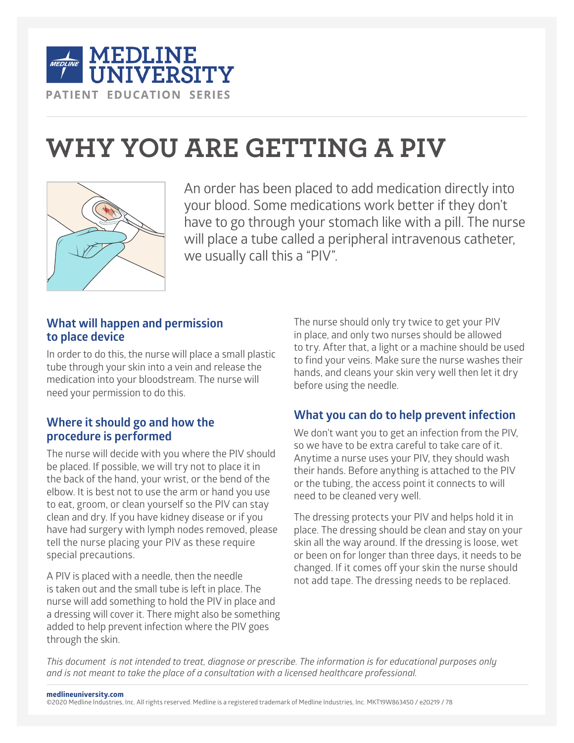

# **WHY YOU ARE GETTING A PIV**



An order has been placed to add medication directly into your blood. Some medications work better if they don't have to go through your stomach like with a pill. The nurse will place a tube called a peripheral intravenous catheter, we usually call this a "PIV".

## **What will happen and permission to place device**

In order to do this, the nurse will place a small plastic tube through your skin into a vein and release the medication into your bloodstream. The nurse will need your permission to do this.

## **Where it should go and how the procedure is performed**

The nurse will decide with you where the PIV should be placed. If possible, we will try not to place it in the back of the hand, your wrist, or the bend of the elbow. It is best not to use the arm or hand you use to eat, groom, or clean yourself so the PIV can stay clean and dry. If you have kidney disease or if you have had surgery with lymph nodes removed, please tell the nurse placing your PIV as these require special precautions.

A PIV is placed with a needle, then the needle is taken out and the small tube is left in place. The nurse will add something to hold the PIV in place and a dressing will cover it. There might also be something added to help prevent infection where the PIV goes through the skin.

The nurse should only try twice to get your PIV in place, and only two nurses should be allowed to try. After that, a light or a machine should be used to find your veins. Make sure the nurse washes their hands, and cleans your skin very well then let it dry before using the needle.

# **What you can do to help prevent infection**

We don't want you to get an infection from the PIV, so we have to be extra careful to take care of it. Anytime a nurse uses your PIV, they should wash their hands. Before anything is attached to the PIV or the tubing, the access point it connects to will need to be cleaned very well.

The dressing protects your PIV and helps hold it in place. The dressing should be clean and stay on your skin all the way around. If the dressing is loose, wet or been on for longer than three days, it needs to be changed. If it comes off your skin the nurse should not add tape. The dressing needs to be replaced.

*This document is not intended to treat, diagnose or prescribe. The information is for educational purposes only and is not meant to take the place of a consultation with a licensed healthcare professional.*